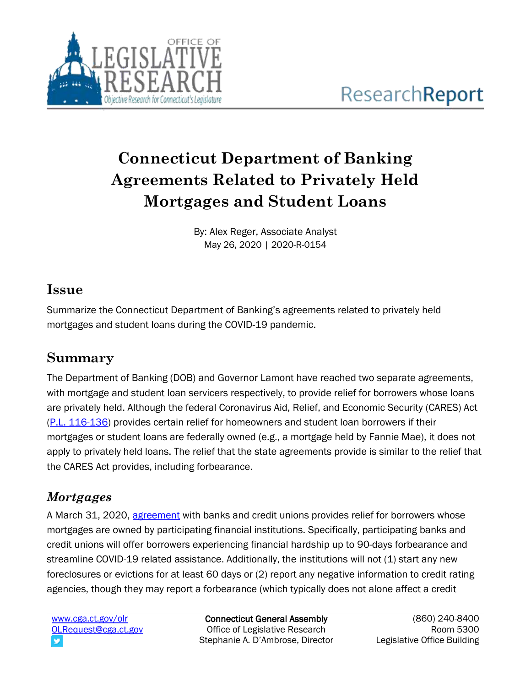

# **Connecticut Department of Banking Agreements Related to Privately Held Mortgages and Student Loans**

By: Alex Reger, Associate Analyst May 26, 2020 | 2020-R-0154

#### **Issue**

Summarize the Connecticut Department of Banking's agreements related to privately held mortgages and student loans during the COVID-19 pandemic.

## **Summary**

The Department of Banking (DOB) and Governor Lamont have reached two separate agreements, with mortgage and student loan servicers respectively, to provide relief for borrowers whose loans are privately held. Although the federal Coronavirus Aid, Relief, and Economic Security (CARES) Act [\(P.L. 116-136\)](https://www.congress.gov/bill/116th-congress/house-bill/748?s=3&r=75) provides certain relief for homeowners and student loan borrowers if their mortgages or student loans are federally owned (e.g., a mortgage held by Fannie Mae), it does not apply to privately held loans. The relief that the state agreements provide is similar to the relief that the CARES Act provides, including forbearance.

## *Mortgages*

A March 31, 2020, [agreement](https://portal.ct.gov/DOB/Consumer/Consumer-Help/COVID-19-Mortgage-Relief) with banks and credit unions provides relief for borrowers whose mortgages are owned by participating financial institutions. Specifically, participating banks and credit unions will offer borrowers experiencing financial hardship up to 90-days forbearance and streamline COVID-19 related assistance. Additionally, the institutions will not (1) start any new foreclosures or evictions for at least 60 days or (2) report any negative information to credit rating agencies, though they may report a forbearance (which typically does not alone affect a credit

[www.cga.ct.gov/olr](http://www.cga.ct.gov/olr) [OLRequest@cga.ct.gov](mailto:OLRequest@cga.ct.gov)

Connecticut General Assembly Office of Legislative Research Stephanie A. D'Ambrose, Director